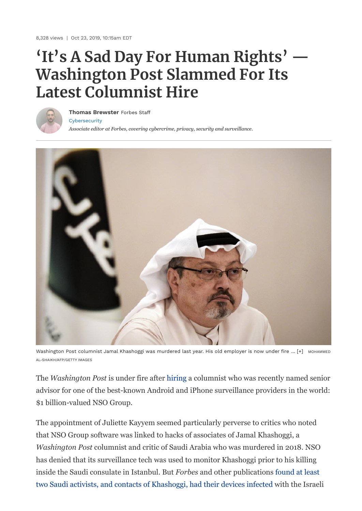8,328 views | Oct 23, 2019, 10:15am EDT

## **'It's A Sad Day For Human Rights' — Washington Post Slammed For Its Latest Columnist Hire**



[Cybersecurity](https://www.forbes.com/cybersecurity) **Thomas [Brewster](https://www.forbes.com/sites/thomasbrewster/)** Forbes Staff

*Associate editor at Forbes, covering cybercrime, privacy, security and surveillance.*



Washington Post columnist Jamal Khashoggi was murdered last year. His old employer is now under fire ... [+] MOHAMMED AL-SHAIKH/AFP/GETTY IMAGES

The *Washington Post* is under fire after [hiring](https://www.washingtonpost.com/pr/2019/10/21/washington-post-opinions-names-juliette-kayyem-pj-orourke-contributors/#comments-wrapper) a columnist who was recently named senior advisor for one of the best-known Android and iPhone surveillance providers in the world: \$1 billion-valued NSO Group.

The appointment of Juliette Kayyem seemed particularly perverse to critics who noted that NSO Group software was linked to hacks of associates of Jamal Khashoggi, a *Washington Post* columnist and critic of Saudi Arabia who was murdered in 2018. NSO has denied that its surveillance tech was used to monitor Khashoggi prior to his killing inside the Saudi consulate in Istanbul. But *Forbes* and other publications found at least [two Saudi activists, and contacts of Khashoggi, had their devices infected with the Israe](https://www.forbes.com/sites/thomasbrewster/2018/11/21/exclusive-saudi-dissidents-hit-with-stealth-iphone-spyware-before-khashoggis-murder/)li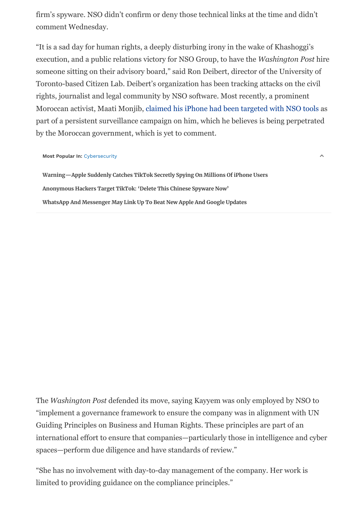firm's spyware. NSO didn't confirm or deny those technical links at the time and didn't comment Wednesday.

"It is a sad day for human rights, a deeply disturbing irony in the wake of Khashoggi's execution, and a public relations victory for NSO Group, to have the *Washington Post* hire someone sitting on their advisory board," said Ron Deibert, director of the University of Toronto-based Citizen Lab. Deibert's organization has been tracking attacks on the civil rights, journalist and legal community by NSO software. Most recently, a prominent Moroccan activist, Maati Monjib, [claimed his iPhone had been targeted with NSO tools](https://www.forbes.com/sites/thomasbrewster/2019/10/09/moroccan-activist-says-nsos-elite-spy-tools-hacked-his-iphone/) as part of a persistent surveillance campaign on him, which he believes is being perpetrated by the Moroccan government, which is yet to comment.

 $\lambda$ 

## **Most Popular In:** [Cybersecurity](https://www.forbes.com/cybersecurity)

**[Warning—Apple Suddenly Catches TikTok Secretly Spying On Millions Of iPhone Users](https://www.forbes.com/sites/zakdoffman/2020/06/26/warning-apple-suddenly-catches-tiktok-secretly-spying-on-millions-of-iphone-users/) [Anonymous Hackers Target TikTok: 'Delete This Chinese Spyware Now'](https://www.forbes.com/sites/zakdoffman/2020/07/01/anonymous-targets-tiktok-delete-this-chinese-spyware-now/) [WhatsApp And Messenger May Link Up To Beat New Apple And Google Updates](https://www.forbes.com/sites/zakdoffman/2020/07/06/whatsapp-and-messenger-may-link-up-to-beat-new-apple-and-google-updates/)**

The *Washington Post* defended its move, saying Kayyem was only employed by NSO to "implement a governance framework to ensure the company was in alignment with UN Guiding Principles on Business and Human Rights. These principles are part of an international effort to ensure that companies—particularly those in intelligence and cyber spaces—perform due diligence and have standards of review."

"She has no involvement with day-to-day management of the company. Her work is limited to providing guidance on the compliance principles."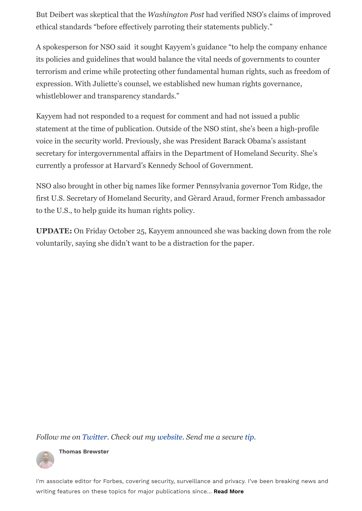But Deibert was skeptical that the *Washington Post* had verified NSO's claims of improved ethical standards "before effectively parroting their statements publicly."

A spokesperson for NSO said it sought Kayyem's guidance "to help the company enhance its policies and guidelines that would balance the vital needs of governments to counter terrorism and crime while protecting other fundamental human rights, such as freedom of expression. With Juliette's counsel, we established new human rights governance, whistleblower and transparency standards."

Kayyem had not responded to a request for comment and had not issued a public statement at the time of publication. Outside of the NSO stint, she's been a high-profile voice in the security world. Previously, she was President Barack Obama's assistant secretary for intergovernmental affairs in the Department of Homeland Security. She's currently a professor at Harvard's Kennedy School of Government.

NSO also brought in other big names like former Pennsylvania governor Tom Ridge, the first U.S. Secretary of Homeland Security, and Gèrard Araud, former French ambassador to the U.S., to help guide its human rights policy.

**UPDATE:** On Friday October 25, Kayyem announced she was backing down from the role voluntarily, saying she didn't want to be a distraction for the paper.

*Follow me on [Twitter](https://www.twitter.com/iblametom). Check out my [website](https://www.forbes.com/sites/thomasbrewster/). Send me a secure [tip.](https://www.forbes.com/tips/)* 



**Thomas [Brewster](https://www.forbes.com/sites/thomasbrewster/)**

I'm associate editor for Forbes, covering security, surveillance and privacy. I've been breaking news and writing features on these topics for major publications since… **Read More**